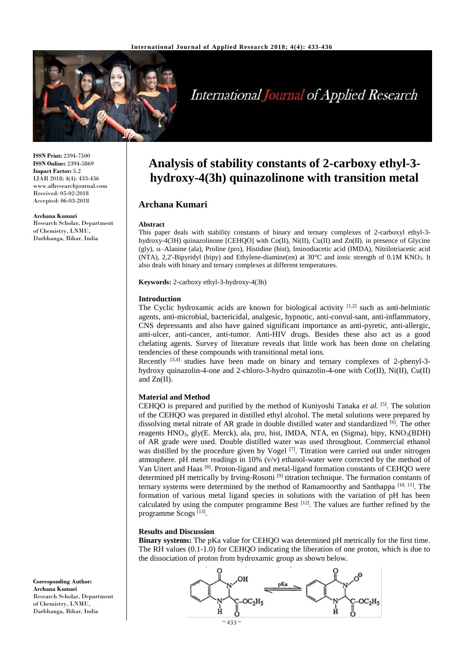

# **International Journal of Applied Research**

**ISSN Print:** 2394-7500 **ISSN Online:** 2394-5869 **Impact Factor:** 5.2 IJAR 2018; 4(4): 433-436 www.allresearchjournal.com Received: 05-02-2018 Accepted: 06-03-2018

**Archana Kumari**  Research Scholar, Department of Chemistry, LNMU, Darbhanga, Bihar, India

## **Analysis of stability constants of 2-carboxy ethyl-3 hydroxy-4(3h) quinazolinone with transition metal**

### **Archana Kumari**

#### **Abstract**

This paper deals with stability constants of binary and ternary complexes of 2-carboxyl ethyl-3 hydroxy-4(3H) quinazolinone [CEHQO] with Co(II), Ni(II), Cu(II) and Zn(II). in presence of Glycine (gly), –Alanine (ala), Proline (pro), Histidine (hist), Iminodiacetic acid (IMDA), Nitrilotriacetic acid (NTA), 2,2'-Bipyridyl (bipy) and Ethylene-diamine(en) at 30°C and ionic strength of 0.1M KNO3. It also deals with binary and ternary complexes at different temperatures.

**Keywords:** 2-carboxy ethyl-3-hydroxy-4(3h)

#### **Introduction**

The Cyclic hydroxamic acids are known for biological activity  $[1,2]$  such as anti-helmintic agents, anti-microbial, bactericidal, analgesic, hypnotic, anti-convul-sant, anti-inflammatory, CNS depressants and also have gained significant importance as anti-pyretic, anti-allergic, anti-ulcer, anti-cancer, anti-tumor. Anti-HIV drugs. Besides these also act as a good chelating agents. Survey of literature reveals that little work has been done on chelating tendencies of these compounds with transitional metal ions.

Recently [3,4] studies have been made on binary and ternary complexes of 2-phenyl-3 hydroxy quinazolin-4-one and 2-chloro-3-hydro quinazolin-4-one with Co(II), Ni(II), Cu(II) and Zn(II).

#### **Material and Method**

CEHQO is prepared and purified by the method of Kuniyoshi Tanaka *et al.* [5]. The solution of the CEHQO was prepared in distilled ethyl alcohol. The metal solutions were prepared by dissolving metal nitrate of AR grade in double distilled water and standardized  $[6]$ . The other reagents HNO<sub>3</sub>, gly(E. Merck), ala, pro, hist, IMDA, NTA, en (Sigma), bipy, KNO<sub>3</sub>(BDH) of AR grade were used. Double distilled water was used throughout. Commercial ethanol was distilled by the procedure given by Vogel  $[7]$ . Titration were carried out under nitrogen atmosphere. pH meter readings in  $10\%$  (v/v) ethanol-water were corrected by the method of Van Uitert and Haas [8]. Proton-ligand and metal-ligand formation constants of CEHQO were determined pH metrically by Irving-Rosotti  $[9]$  titration technique. The formation constants of ternary systems were determined by the method of Ramamoorthy and Santhappa  $[10, 11]$ . The formation of various metal ligand species in solutions with the variation of pH has been calculated by using the computer programme Best  $[12]$ . The values are further refined by the programme Scogs<sup>[13]</sup>.

#### **Results and Discussion**

**Binary systems:** The pKa value for CEHQO was determined pH metrically for the first time. The RH values (0.1-1.0) for CEHQO indicating the liberation of one proton, which is due to the dissociation of proton from hydroxamic group as shown below.



**Corresponding Author: Archana Kumari**  Research Scholar, Department of Chemistry, LNMU, Darbhanga, Bihar, India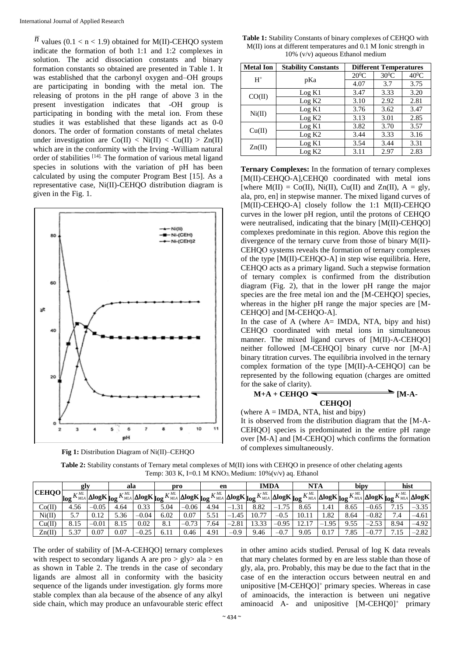*n* values (0.1 < n < 1.9) obtained for M(II)-CEHQO system indicate the formation of both 1:1 and 1:2 complexes in solution. The acid dissociation constants and binary formation constants so obtained are presented in Table 1. It was established that the carbonyl oxygen and–OH groups are participating in bonding with the metal ion. The releasing of protons in the pH range of above 3 in the present investigation indicates that -OH group is participating in bonding with the metal ion. From these studies it was established that these ligands act as 0-0 donors. The order of formation constants of metal chelates under investigation are  $Co(II) < Ni(II) < Cu(II) > Zn(II)$ which are in the conformity with the Irving -William natural order of stabilities [14]. The formation of various metal ligand species in solutions with the variation of pH has been calculated by using the computer Program Best [15]. As a representative case, Ni(II)-CEHQO distribution diagram is given in the Fig. 1.





**Table 1:** Stability Constants of binary complexes of CEHQO with M(II) ions at different temperatures and 0.1 M Ionic strength in 10% (v/v) aqueous Ethanol medium

| <b>Metal Ion</b> | <b>Stability Constants</b> | <b>Different Temperatures</b> |         |         |  |  |
|------------------|----------------------------|-------------------------------|---------|---------|--|--|
| $H^+$            |                            | $20^0C$                       | $30^0C$ | $40^0C$ |  |  |
|                  | pKa                        | 4.07                          | 3.7     | 3.75    |  |  |
|                  | Log K1                     | 3.47                          | 3.33    | 3.20    |  |  |
| CO(II)           | Log K2                     | 3.10                          | 2.92    | 2.81    |  |  |
| Ni(II)           | Log K1                     | 3.76                          | 3.62    | 3.47    |  |  |
|                  | Log K2                     | 3.13                          | 3.01    | 2.85    |  |  |
| Cu(II)           | Log K1                     | 3.82                          | 3.70    | 3.57    |  |  |
|                  | Log K2                     | 3.44                          | 3.33    | 3.16    |  |  |
| $\text{Zn(II)}$  | Log K1                     | 3.54                          | 3.44    | 3.31    |  |  |
|                  | Log K2                     | 3.11                          | 2.97    | 2.83    |  |  |

**Ternary Complexes:** In the formation of ternary complexes [M(II)-CEHQO-A],CEHQ0 coordinated with metal ions [where  $M(II) = Co(II)$ ,  $Ni(II)$ ,  $Cu(II)$  and  $Zn(II)$ ,  $A = gIy$ , ala, pro, en] in stepwise manner. The mixed ligand curves of [M(II)-CEHQO-A] closely follow the 1:1 M(II)-CEHQO curves in the lower pH region, until the protons of CEHQO were neutralised, indicating that the binary [M(II)-CEHQO] complexes predominate in this region. Above this region the divergence of the ternary curve from those of binary M(II)- CEHQO systems reveals the formation of ternary complexes of the type [M(II)-CEHQO-A] in step wise equilibria. Here, CEHQO acts as a primary ligand. Such a stepwise formation of ternary complex is confirmed from the distribution diagram (Fig. 2), that in the lower pH range the major species are the free metal ion and the [M-CEHOO] species, whereas in the higher pH range the major species are [M-CEHOO1 and [M-CEHOO-A].

In the case of A (where A= IMDA, NTA, bipy and hist) CEHQO coordinated with metal ions in simultaneous manner. The mixed ligand curves of [M(II)-A-CEHQO] neither followed [M-CEHQO] binary curve nor [M-A] binary titration curves. The equilibria involved in the ternary complex formation of the type [M(II)-A-CEHQO] can be represented by the following equation (charges are omitted for the sake of clarity).

$$
M+A + CEHQO \longrightarrow
$$
 
$$
CEHQO
$$

(where  $A = \text{IMDA}$ , NTA, hist and bipy)

It is observed from the distribution diagram that the [M-A-CEHQO] species is predominated in the entire pH range over [M-A] and [M-CEHQO] which confirms the formation of complexes simultaneously.

|              |      |         | ala                                                                                                            |         |      |         |      |         | <b>IMDA</b> |         | <b>NTA</b>                                                                                                                                                                                                                                                                                                                                                                      |                                  | bipy |         | hist                                                                 |         |
|--------------|------|---------|----------------------------------------------------------------------------------------------------------------|---------|------|---------|------|---------|-------------|---------|---------------------------------------------------------------------------------------------------------------------------------------------------------------------------------------------------------------------------------------------------------------------------------------------------------------------------------------------------------------------------------|----------------------------------|------|---------|----------------------------------------------------------------------|---------|
|              | gly  |         |                                                                                                                |         | pro  |         | en   |         |             |         |                                                                                                                                                                                                                                                                                                                                                                                 |                                  |      |         |                                                                      |         |
| <b>CEHQO</b> | log  |         | $K^{ML}_{ML}$ $\Delta$ log $\bf{K}$ $_{\bf{log}}$ $K^{ML}_{ML}$ $\Delta$ log $\bf{K}$ $_{\bf{log}}$ $\bf{K}$ . |         |      |         |      |         |             |         | $\frac{1}{2}K_{\scriptscriptstyle MLA}^{\scriptscriptstyle ML} \Big  \Delta{{\rm log}}K_{\scriptscriptstyle MLA}^{\scriptscriptstyle ML} \Big  \Delta{{\rm log}}K \Big _{{\rm log}}K_{\scriptscriptstyle MLA}^{\scriptscriptstyle ML} \Big  \Delta{{\rm log}}K \Big _{{\rm log}}K_{\scriptscriptstyle MLA}^{\scriptscriptstyle ML} \Big  \Delta{{\rm log}}K \Big _{{\rm log}}.$ |                                  |      |         | $K^{ML}_{MLA}$ $\Delta$ log $K$ $\log K^{ML}_{MLA}$ $\Delta$ log $K$ |         |
| Co(II)       | 4.56 | $-0.05$ | 4.64                                                                                                           | 0.33    | 5.04 | $-0.06$ | 4.94 | $-1.31$ | 8.82        | $-1.75$ | 8.65                                                                                                                                                                                                                                                                                                                                                                            | 1.41                             | 8.65 | $-0.65$ |                                                                      | $-3.35$ |
| Ni(II)       | 57   | 0.12    | 5.36                                                                                                           | $-0.04$ | 6.02 | 0.07    | 5.51 | $-1.45$ | 10.77       | $-0.5$  | 10.11                                                                                                                                                                                                                                                                                                                                                                           | 1.82                             | 8.64 | $-0.82$ | 7.4                                                                  | $-4.61$ |
| Cu(II)       | 8.15 | $-0.01$ | 8.15                                                                                                           | 0.02    | 8.1  | $-0.73$ | 7.64 | $-2.81$ | 13.33       | $-0.95$ | 17<br>12.1                                                                                                                                                                                                                                                                                                                                                                      | 1.95<br>$\overline{\phantom{0}}$ | 9.55 | $-2.53$ | 8.94                                                                 | $-4.92$ |
| Zn(II)       | 5.37 | 0.07    | 0.07                                                                                                           | $-0.25$ | 6.11 | 0.46    | 4.91 | $-0.9$  | 9.46        | $-0.7$  | 9.05                                                                                                                                                                                                                                                                                                                                                                            | 0.17                             | 7.85 | $-0.77$ | $\overline{ }$                                                       | $-2.82$ |

**Table 2:** Stability constants of Ternary metal complexes of M(II) ions with CEHQO in presence of other chelating agents Temp: 303 K, I=0.1 M KNO<sub>3</sub>, Medium:  $10\%$  (v/v) aq. Ethanol

The order of stability of [M-A-CEHQO] ternary complexes with respect to secondary ligands A are  $pro > gly > ala > en$ as shown in Table 2. The trends in the case of secondary ligands are almost all in conformity with the basicity sequence of the ligands under investigation. gly forms more stable complex than ala because of the absence of any alkyl side chain, which may produce an unfavourable steric effect

in other amino acids studied. Perusal of log K data reveals that mary chelates formed by en are less stable than those of gly, ala, pro. Probably, this may be due to the fact that in the case of en the interaction occurs between neutral en and unipositive  $[M-CEHQO]^+$  primary species. Whereas in case of aminoacids, the interaction is between uni negative aminoacid A- and unipositive [M-CEHQ0]<sup>+</sup> primary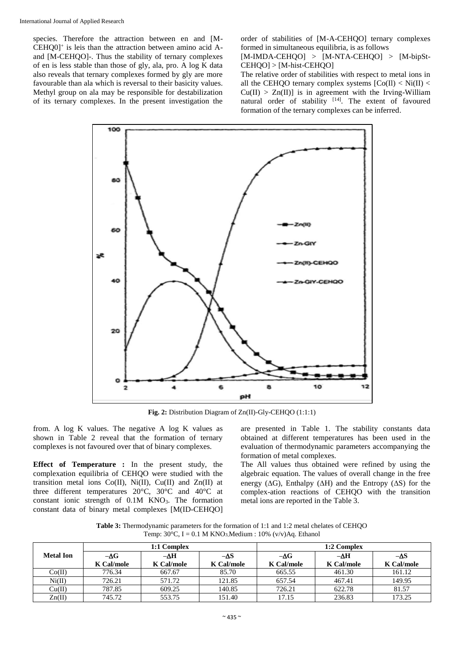species. Therefore the attraction between en and [M-CEHQ0]<sup>+</sup> is leis than the attraction between amino acid Aand [M-CEHQO]-. Thus the stability of ternary complexes of en is less stable than those of gly, ala, pro. A log K data also reveals that ternary complexes formed by gly are more favourable than ala which is reversal to their basicity values. Methyl group on ala may be responsible for destabilization of its ternary complexes. In the present investigation the order of stabilities of [M-A-CEHQO] ternary complexes formed in simultaneous equilibria, is as follows

[M-IMDA-CEHQO] > [M-NTA-CEHQO] > [M-bipSt-CEHQO] > [M-hist-CEHQO]

The relative order of stabilities with respect to metal ions in all the CEHOO ternary complex systems  $[Co(II) < Ni(II) <$  $Cu(II) > Zn(II)$ ] is in agreement with the Irving-William natural order of stability  $[14]$ . The extent of favoured formation of the ternary complexes can be inferred.



**Fig. 2:** Distribution Diagram of Zn(II)-Gly-CEHQO (1:1:1)

from. A log K values. The negative A log K values as shown in Table 2 reveal that the formation of ternary complexes is not favoured over that of binary complexes.

**Effect of Temperature :** In the present study, the complexation equilibria of CEHQO were studied with the transition metal ions Co(II), Ni(II), Cu(II) and Zn(II) at three different temperatures 20°C, 30°C and 40°C at constant ionic strength of  $0.1M$  KNO<sub>3</sub>. The formation constant data of binary metal complexes [M(ID-CEHQO] are presented in Table 1. The stability constants data obtained at different temperatures has been used in the evaluation of thermodynamic parameters accompanying the formation of metal complexes.

The All values thus obtained were refined by using the algebraic equation. The values of overall change in the free energy ( $\Delta G$ ), Enthalpy ( $\Delta H$ ) and the Entropy ( $\Delta S$ ) for the complex-ation reactions of CEHQO with the transition metal ions are reported in the Table 3.

**Table 3:** Thermodynamic parameters for the formation of 1:1 and 1:2 metal chelates of CEHQO Temp:  $30^{\circ}$ C, I = 0.1 M KNO<sub>3</sub>, Medium : 10% (v/v)Aq. Ethanol

|                  |             | 1:1 Complex |             | 1:2 Complex       |             |                   |  |  |
|------------------|-------------|-------------|-------------|-------------------|-------------|-------------------|--|--|
| <b>Metal Ion</b> | $-\Delta G$ | $-\Delta H$ | $-\Delta S$ | $-\Delta G$       | $-\Delta H$ | -AS               |  |  |
|                  | K Cal/mole  | K Cal/mole  | K Cal/mole  | <b>K</b> Cal/mole | K Cal/mole  | <b>K</b> Cal/mole |  |  |
| Co(II)           | 776.34      | 667.67      | 85.70       | 665.55            | 461.30      | 161.12            |  |  |
| Ni(II)           | 726.21      | 571.72      | 121.85      | 657.54            | 467.41      | 149.95            |  |  |
| Cu(II)           | 787.85      | 609.25      | 140.85      | 726.21            | 622.78      | 81.57             |  |  |
| Zn(II)           | 745.72      | 553.75      | 151.40      | 17.15             | 236.83      | 173.25            |  |  |